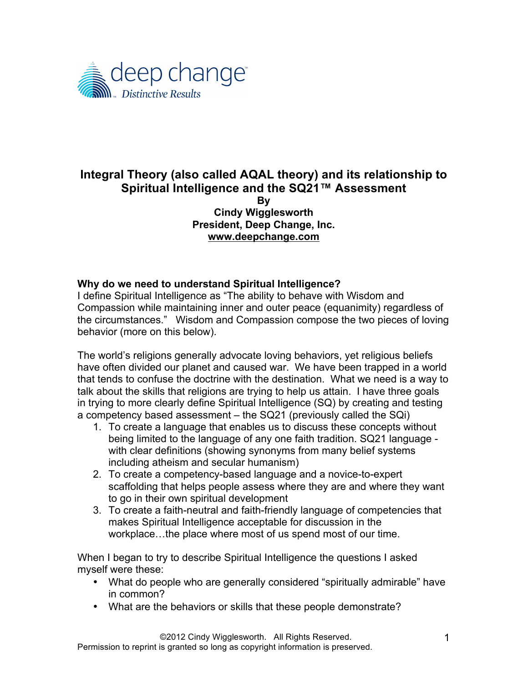

### **Integral Theory (also called AQAL theory) and its relationship to Spiritual Intelligence and the SQ21™ Assessment By Cindy Wigglesworth President, Deep Change, Inc.**

**www.deepchange.com**

## **Why do we need to understand Spiritual Intelligence?**

I define Spiritual Intelligence as "The ability to behave with Wisdom and Compassion while maintaining inner and outer peace (equanimity) regardless of the circumstances." Wisdom and Compassion compose the two pieces of loving behavior (more on this below).

The world's religions generally advocate loving behaviors, yet religious beliefs have often divided our planet and caused war. We have been trapped in a world that tends to confuse the doctrine with the destination. What we need is a way to talk about the skills that religions are trying to help us attain. I have three goals in trying to more clearly define Spiritual Intelligence (SQ) by creating and testing a competency based assessment – the SQ21 (previously called the SQi)

- 1. To create a language that enables us to discuss these concepts without being limited to the language of any one faith tradition. SQ21 language with clear definitions (showing synonyms from many belief systems including atheism and secular humanism)
- 2. To create a competency-based language and a novice-to-expert scaffolding that helps people assess where they are and where they want to go in their own spiritual development
- 3. To create a faith-neutral and faith-friendly language of competencies that makes Spiritual Intelligence acceptable for discussion in the workplace…the place where most of us spend most of our time.

When I began to try to describe Spiritual Intelligence the questions I asked myself were these:

- What do people who are generally considered "spiritually admirable" have in common?
- What are the behaviors or skills that these people demonstrate?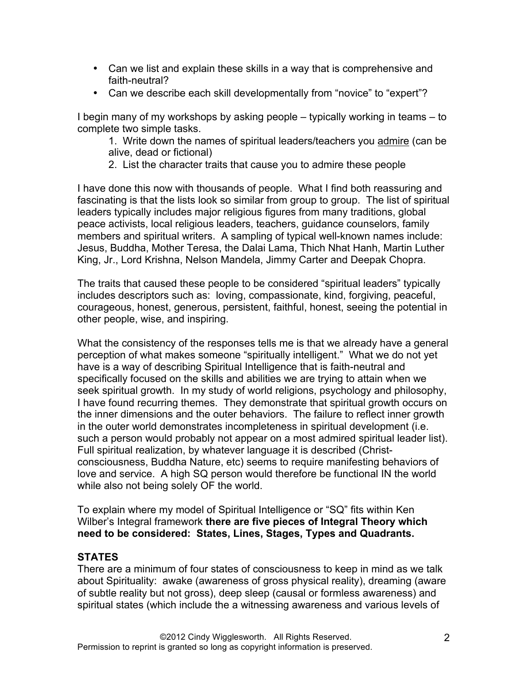- Can we list and explain these skills in a way that is comprehensive and faith-neutral?
- Can we describe each skill developmentally from "novice" to "expert"?

I begin many of my workshops by asking people – typically working in teams – to complete two simple tasks.

1. Write down the names of spiritual leaders/teachers you admire (can be alive, dead or fictional)

2. List the character traits that cause you to admire these people

I have done this now with thousands of people. What I find both reassuring and fascinating is that the lists look so similar from group to group. The list of spiritual leaders typically includes major religious figures from many traditions, global peace activists, local religious leaders, teachers, guidance counselors, family members and spiritual writers. A sampling of typical well-known names include: Jesus, Buddha, Mother Teresa, the Dalai Lama, Thich Nhat Hanh, Martin Luther King, Jr., Lord Krishna, Nelson Mandela, Jimmy Carter and Deepak Chopra.

The traits that caused these people to be considered "spiritual leaders" typically includes descriptors such as: loving, compassionate, kind, forgiving, peaceful, courageous, honest, generous, persistent, faithful, honest, seeing the potential in other people, wise, and inspiring.

What the consistency of the responses tells me is that we already have a general perception of what makes someone "spiritually intelligent." What we do not yet have is a way of describing Spiritual Intelligence that is faith-neutral and specifically focused on the skills and abilities we are trying to attain when we seek spiritual growth. In my study of world religions, psychology and philosophy, I have found recurring themes. They demonstrate that spiritual growth occurs on the inner dimensions and the outer behaviors. The failure to reflect inner growth in the outer world demonstrates incompleteness in spiritual development (i.e. such a person would probably not appear on a most admired spiritual leader list). Full spiritual realization, by whatever language it is described (Christconsciousness, Buddha Nature, etc) seems to require manifesting behaviors of love and service. A high SQ person would therefore be functional IN the world while also not being solely OF the world.

To explain where my model of Spiritual Intelligence or "SQ" fits within Ken Wilber's Integral framework **there are five pieces of Integral Theory which need to be considered: States, Lines, Stages, Types and Quadrants.**

## **STATES**

There are a minimum of four states of consciousness to keep in mind as we talk about Spirituality: awake (awareness of gross physical reality), dreaming (aware of subtle reality but not gross), deep sleep (causal or formless awareness) and spiritual states (which include the a witnessing awareness and various levels of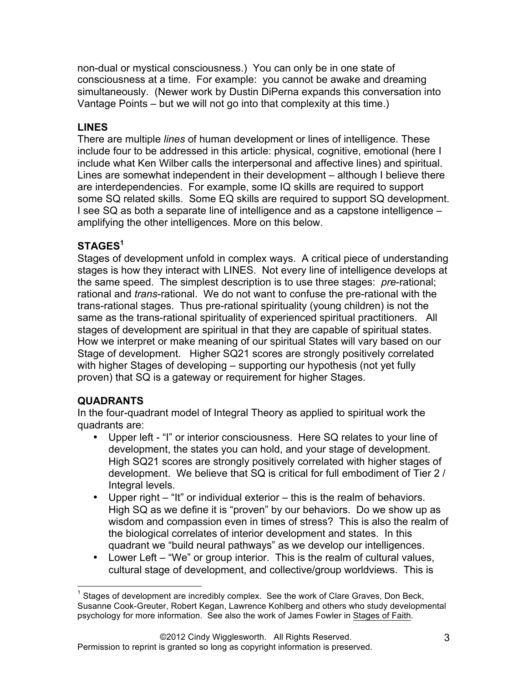non-dual or mystical consciousness.) You can only be in one state of consciousness at a time. For example: you cannot be awake and dreaming simultaneously. (Newer work by Dustin DiPerna expands this conversation into Vantage Points – but we will not go into that complexity at this time.)

# **LINES**

There are multiple *lines* of human development or lines of intelligence. These include four to be addressed in this article: physical, cognitive, emotional (here I include what Ken Wilber calls the interpersonal and affective lines) and spiritual. Lines are somewhat independent in their development – although I believe there are interdependencies. For example, some IQ skills are required to support some SQ related skills. Some EQ skills are required to support SQ development. I see SQ as both a separate line of intelligence and as a capstone intelligence – amplifying the other intelligences. More on this below.

# **STAGES<sup>1</sup>**

Stages of development unfold in complex ways. A critical piece of understanding stages is how they interact with LINES. Not every line of intelligence develops at the same speed. The simplest description is to use three stages: *pre*-rational; rational and *trans*-rational. We do not want to confuse the pre-rational with the trans-rational stages. Thus pre-rational spirituality (young children) is not the same as the trans-rational spirituality of experienced spiritual practitioners. All stages of development are spiritual in that they are capable of spiritual states. How we interpret or make meaning of our spiritual States will vary based on our Stage of development. Higher SQ21 scores are strongly positively correlated with higher Stages of developing – supporting our hypothesis (not yet fully proven) that SQ is a gateway or requirement for higher Stages.

## **QUADRANTS**

In the four-quadrant model of Integral Theory as applied to spiritual work the quadrants are:

- Upper left "I" or interior consciousness. Here SQ relates to your line of development, the states you can hold, and your stage of development. High SQ21 scores are strongly positively correlated with higher stages of development. We believe that SQ is critical for full embodiment of Tier 2 / Integral levels.
- Upper right "It" or individual exterior this is the realm of behaviors. High SQ as we define it is "proven" by our behaviors. Do we show up as wisdom and compassion even in times of stress? This is also the realm of the biological correlates of interior development and states. In this quadrant we "build neural pathways" as we develop our intelligences.
- Lower Left "We" or group interior. This is the realm of cultural values, cultural stage of development, and collective/group worldviews. This is

Stages of development are incredibly complex. See the work of Clare Graves, Don Beck, Susanne Cook-Greuter, Robert Kegan, Lawrence Kohlberg and others who study developmental psychology for more information. See also the work of James Fowler in Stages of Faith.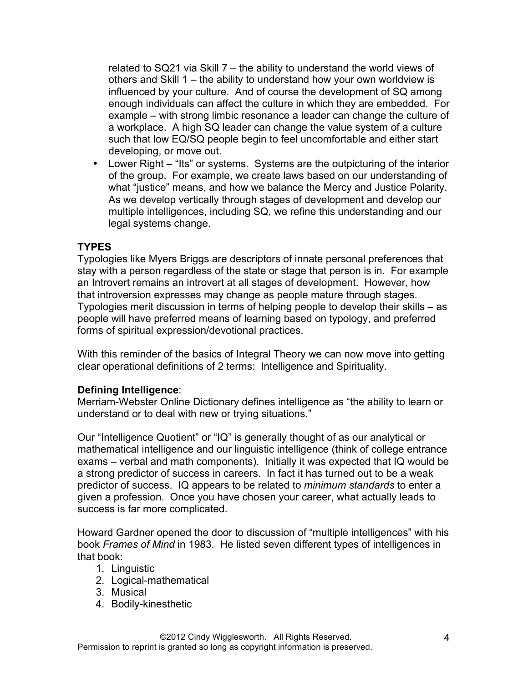related to SQ21 via Skill 7 – the ability to understand the world views of others and Skill 1 – the ability to understand how your own worldview is influenced by your culture. And of course the development of SQ among enough individuals can affect the culture in which they are embedded. For example – with strong limbic resonance a leader can change the culture of a workplace. A high SQ leader can change the value system of a culture such that low EQ/SQ people begin to feel uncomfortable and either start developing, or move out.

• Lower Right – "Its" or systems. Systems are the outpicturing of the interior of the group. For example, we create laws based on our understanding of what "justice" means, and how we balance the Mercy and Justice Polarity. As we develop vertically through stages of development and develop our multiple intelligences, including SQ, we refine this understanding and our legal systems change.

## **TYPES**

Typologies like Myers Briggs are descriptors of innate personal preferences that stay with a person regardless of the state or stage that person is in. For example an Introvert remains an introvert at all stages of development. However, how that introversion expresses may change as people mature through stages. Typologies merit discussion in terms of helping people to develop their skills – as people will have preferred means of learning based on typology, and preferred forms of spiritual expression/devotional practices.

With this reminder of the basics of Integral Theory we can now move into getting clear operational definitions of 2 terms: Intelligence and Spirituality.

#### **Defining Intelligence**:

Merriam-Webster Online Dictionary defines intelligence as "the ability to learn or understand or to deal with new or trying situations."

Our "Intelligence Quotient" or "IQ" is generally thought of as our analytical or mathematical intelligence and our linguistic intelligence (think of college entrance exams – verbal and math components). Initially it was expected that IQ would be a strong predictor of success in careers. In fact it has turned out to be a weak predictor of success. IQ appears to be related to *minimum standards* to enter a given a profession. Once you have chosen your career, what actually leads to success is far more complicated.

Howard Gardner opened the door to discussion of "multiple intelligences" with his book *Frames of Mind* in 1983. He listed seven different types of intelligences in that book:

- 1. Linguistic
- 2. Logical-mathematical
- 3. Musical
- 4. Bodily-kinesthetic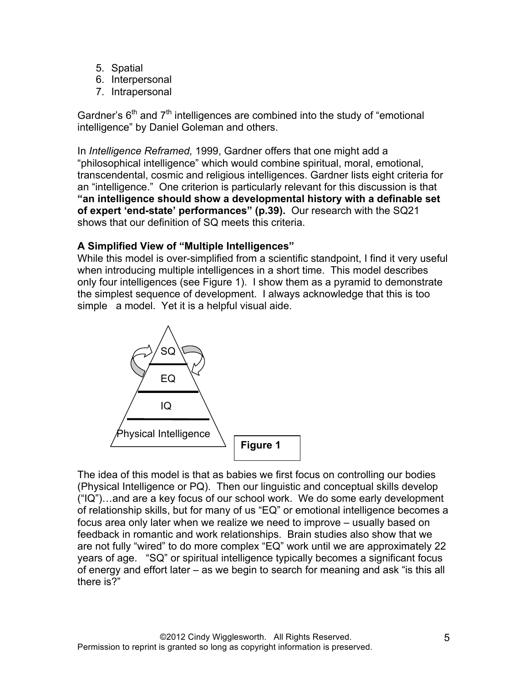- 5. Spatial
- 6. Interpersonal
- 7. Intrapersonal

Gardner's  $6<sup>th</sup>$  and  $7<sup>th</sup>$  intelligences are combined into the study of "emotional intelligence" by Daniel Goleman and others.

In *Intelligence Reframed,* 1999, Gardner offers that one might add a "philosophical intelligence" which would combine spiritual, moral, emotional, transcendental, cosmic and religious intelligences. Gardner lists eight criteria for an "intelligence." One criterion is particularly relevant for this discussion is that **"an intelligence should show a developmental history with a definable set of expert 'end-state' performances" (p.39).** Our research with the SQ21 shows that our definition of SQ meets this criteria.

## **A Simplified View of "Multiple Intelligences"**

While this model is over-simplified from a scientific standpoint, I find it very useful when introducing multiple intelligences in a short time. This model describes only four intelligences (see Figure 1). I show them as a pyramid to demonstrate the simplest sequence of development. I always acknowledge that this is too simple a model. Yet it is a helpful visual aide.



The idea of this model is that as babies we first focus on controlling our bodies (Physical Intelligence or PQ). Then our linguistic and conceptual skills develop ("IQ")…and are a key focus of our school work. We do some early development of relationship skills, but for many of us "EQ" or emotional intelligence becomes a focus area only later when we realize we need to improve – usually based on feedback in romantic and work relationships. Brain studies also show that we are not fully "wired" to do more complex "EQ" work until we are approximately 22 years of age. "SQ" or spiritual intelligence typically becomes a significant focus of energy and effort later – as we begin to search for meaning and ask "is this all there is?"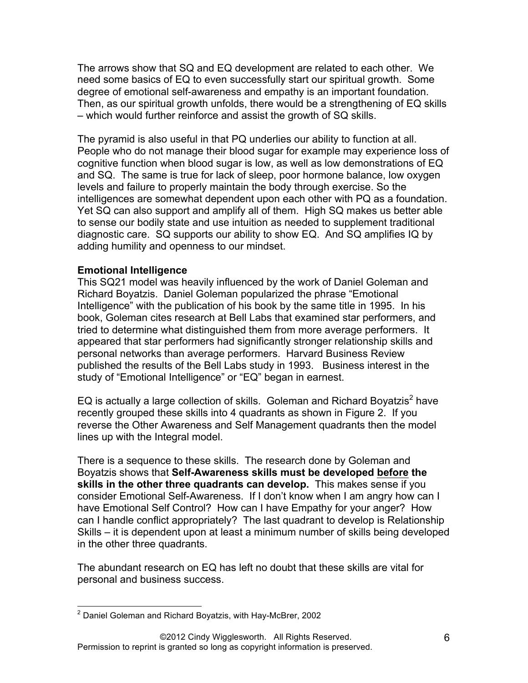The arrows show that SQ and EQ development are related to each other. We need some basics of EQ to even successfully start our spiritual growth. Some degree of emotional self-awareness and empathy is an important foundation. Then, as our spiritual growth unfolds, there would be a strengthening of EQ skills – which would further reinforce and assist the growth of SQ skills.

The pyramid is also useful in that PQ underlies our ability to function at all. People who do not manage their blood sugar for example may experience loss of cognitive function when blood sugar is low, as well as low demonstrations of EQ and SQ. The same is true for lack of sleep, poor hormone balance, low oxygen levels and failure to properly maintain the body through exercise. So the intelligences are somewhat dependent upon each other with PQ as a foundation. Yet SQ can also support and amplify all of them. High SQ makes us better able to sense our bodily state and use intuition as needed to supplement traditional diagnostic care. SQ supports our ability to show EQ. And SQ amplifies IQ by adding humility and openness to our mindset.

#### **Emotional Intelligence**

This SQ21 model was heavily influenced by the work of Daniel Goleman and Richard Boyatzis. Daniel Goleman popularized the phrase "Emotional Intelligence" with the publication of his book by the same title in 1995. In his book, Goleman cites research at Bell Labs that examined star performers, and tried to determine what distinguished them from more average performers. It appeared that star performers had significantly stronger relationship skills and personal networks than average performers. Harvard Business Review published the results of the Bell Labs study in 1993. Business interest in the study of "Emotional Intelligence" or "EQ" began in earnest.

EQ is actually a large collection of skills. Goleman and Richard Boyatzis<sup>2</sup> have recently grouped these skills into 4 quadrants as shown in Figure 2. If you reverse the Other Awareness and Self Management quadrants then the model lines up with the Integral model.

There is a sequence to these skills. The research done by Goleman and Boyatzis shows that **Self-Awareness skills must be developed before the skills in the other three quadrants can develop.** This makes sense if you consider Emotional Self-Awareness. If I don't know when I am angry how can I have Emotional Self Control? How can I have Empathy for your anger? How can I handle conflict appropriately? The last quadrant to develop is Relationship Skills – it is dependent upon at least a minimum number of skills being developed in the other three quadrants.

The abundant research on EQ has left no doubt that these skills are vital for personal and business success.

<sup>&</sup>lt;sup>2</sup> Daniel Goleman and Richard Boyatzis, with Hay-McBrer, 2002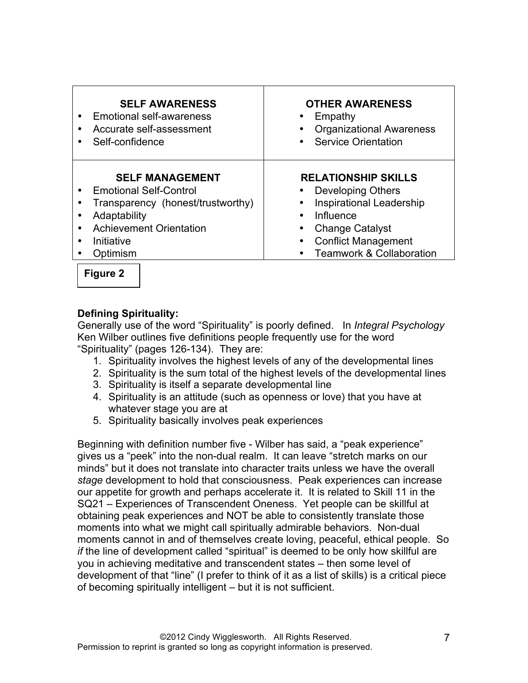| <b>RELATIONSHIP SKILLS</b><br><b>SELF MANAGEMENT</b><br><b>Emotional Self-Control</b><br><b>Developing Others</b><br>$\bullet$<br><b>Inspirational Leadership</b><br>Transparency (honest/trustworthy)<br>Influence<br>Adaptability<br><b>Achievement Orientation</b><br><b>Change Catalyst</b> | <b>SELF AWARENESS</b><br>Emotional self-awareness<br>Accurate self-assessment<br>Self-confidence | <b>OTHER AWARENESS</b><br>Empathy<br><b>Organizational Awareness</b><br>• Service Orientation |
|-------------------------------------------------------------------------------------------------------------------------------------------------------------------------------------------------------------------------------------------------------------------------------------------------|--------------------------------------------------------------------------------------------------|-----------------------------------------------------------------------------------------------|
| <b>Teamwork &amp; Collaboration</b><br>Optimism                                                                                                                                                                                                                                                 | Initiative                                                                                       | <b>Conflict Management</b>                                                                    |

**Figure 2**

## **Defining Spirituality:**

Generally use of the word "Spirituality" is poorly defined. In *Integral Psychology* Ken Wilber outlines five definitions people frequently use for the word "Spirituality" (pages 126-134). They are:

- 1. Spirituality involves the highest levels of any of the developmental lines
- 2. Spirituality is the sum total of the highest levels of the developmental lines
- 3. Spirituality is itself a separate developmental line
- 4. Spirituality is an attitude (such as openness or love) that you have at whatever stage you are at
- 5. Spirituality basically involves peak experiences

Beginning with definition number five - Wilber has said, a "peak experience" gives us a "peek" into the non-dual realm. It can leave "stretch marks on our minds" but it does not translate into character traits unless we have the overall *stage* development to hold that consciousness. Peak experiences can increase our appetite for growth and perhaps accelerate it. It is related to Skill 11 in the SQ21 – Experiences of Transcendent Oneness. Yet people can be skillful at obtaining peak experiences and NOT be able to consistently translate those moments into what we might call spiritually admirable behaviors. Non-dual moments cannot in and of themselves create loving, peaceful, ethical people. So *if* the line of development called "spiritual" is deemed to be only how skillful are you in achieving meditative and transcendent states – then some level of development of that "line" (I prefer to think of it as a list of skills) is a critical piece of becoming spiritually intelligent – but it is not sufficient.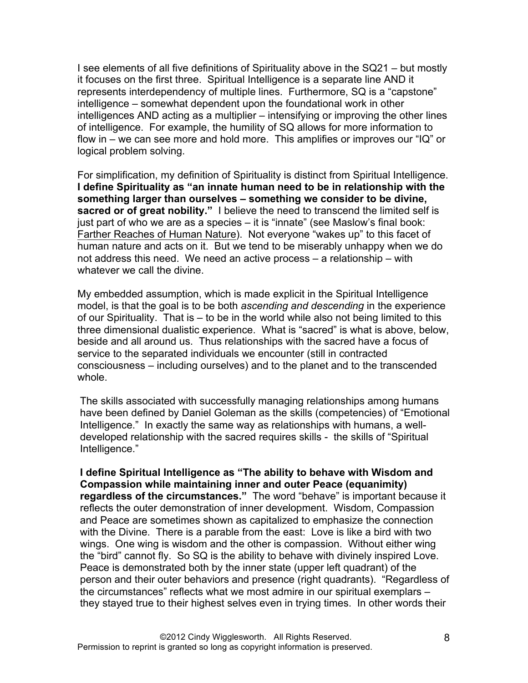I see elements of all five definitions of Spirituality above in the SQ21 – but mostly it focuses on the first three. Spiritual Intelligence is a separate line AND it represents interdependency of multiple lines. Furthermore, SQ is a "capstone" intelligence – somewhat dependent upon the foundational work in other intelligences AND acting as a multiplier – intensifying or improving the other lines of intelligence. For example, the humility of SQ allows for more information to flow in – we can see more and hold more. This amplifies or improves our "IQ" or logical problem solving.

For simplification, my definition of Spirituality is distinct from Spiritual Intelligence. **I define Spirituality as "an innate human need to be in relationship with the something larger than ourselves – something we consider to be divine, sacred or of great nobility."** I believe the need to transcend the limited self is just part of who we are as a species – it is "innate" (see Maslow's final book: Farther Reaches of Human Nature). Not everyone "wakes up" to this facet of human nature and acts on it. But we tend to be miserably unhappy when we do not address this need. We need an active process – a relationship – with whatever we call the divine.

My embedded assumption, which is made explicit in the Spiritual Intelligence model, is that the goal is to be both *ascending and descending* in the experience of our Spirituality. That is – to be in the world while also not being limited to this three dimensional dualistic experience. What is "sacred" is what is above, below, beside and all around us. Thus relationships with the sacred have a focus of service to the separated individuals we encounter (still in contracted consciousness – including ourselves) and to the planet and to the transcended whole.

The skills associated with successfully managing relationships among humans have been defined by Daniel Goleman as the skills (competencies) of "Emotional Intelligence." In exactly the same way as relationships with humans, a welldeveloped relationship with the sacred requires skills - the skills of "Spiritual Intelligence."

**I define Spiritual Intelligence as "The ability to behave with Wisdom and Compassion while maintaining inner and outer Peace (equanimity) regardless of the circumstances."** The word "behave" is important because it reflects the outer demonstration of inner development. Wisdom, Compassion and Peace are sometimes shown as capitalized to emphasize the connection with the Divine. There is a parable from the east: Love is like a bird with two wings. One wing is wisdom and the other is compassion. Without either wing the "bird" cannot fly. So SQ is the ability to behave with divinely inspired Love. Peace is demonstrated both by the inner state (upper left quadrant) of the person and their outer behaviors and presence (right quadrants). "Regardless of the circumstances" reflects what we most admire in our spiritual exemplars – they stayed true to their highest selves even in trying times. In other words their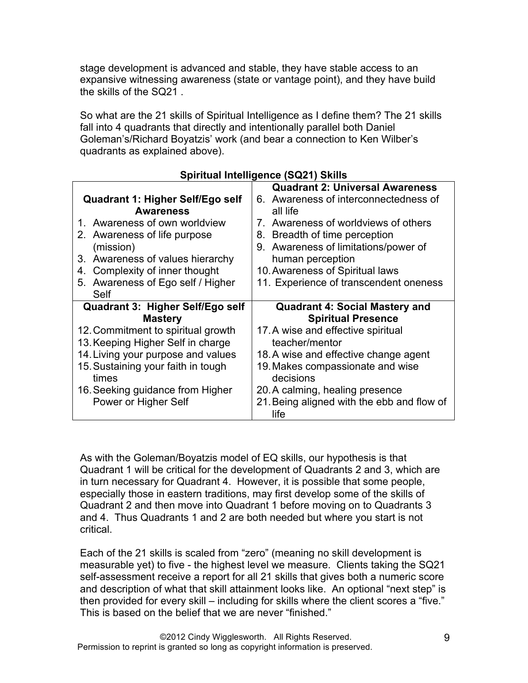stage development is advanced and stable, they have stable access to an expansive witnessing awareness (state or vantage point), and they have build the skills of the SQ21

So what are the 21 skills of Spiritual Intelligence as I define them? The 21 skills fall into 4 quadrants that directly and intentionally parallel both Daniel Goleman's/Richard Boyatzis' work (and bear a connection to Ken Wilber's quadrants as explained above).

|                                                      | <b>Quadrant 2: Universal Awareness</b>            |
|------------------------------------------------------|---------------------------------------------------|
| Quadrant 1: Higher Self/Ego self<br><b>Awareness</b> | 6. Awareness of interconnectedness of<br>all life |
| 1. Awareness of own worldview                        | Awareness of worldviews of others<br>$7_{-}$      |
| 2. Awareness of life purpose                         | Breadth of time perception<br>8.                  |
| (mission)                                            | 9. Awareness of limitations/power of              |
| 3. Awareness of values hierarchy                     | human perception                                  |
| 4. Complexity of inner thought                       | 10. Awareness of Spiritual laws                   |
| 5. Awareness of Ego self / Higher                    | 11. Experience of transcendent oneness            |
| Self                                                 |                                                   |
|                                                      |                                                   |
| Quadrant 3: Higher Self/Ego self                     | <b>Quadrant 4: Social Mastery and</b>             |
| <b>Mastery</b>                                       | <b>Spiritual Presence</b>                         |
| 12. Commitment to spiritual growth                   | 17. A wise and effective spiritual                |
| 13. Keeping Higher Self in charge                    | teacher/mentor                                    |
| 14. Living your purpose and values                   | 18. A wise and effective change agent             |
| 15. Sustaining your faith in tough<br>times          | 19. Makes compassionate and wise<br>decisions     |
| 16. Seeking guidance from Higher                     | 20. A calming, healing presence                   |

#### **Spiritual Intelligence (SQ21) Skills**

As with the Goleman/Boyatzis model of EQ skills, our hypothesis is that Quadrant 1 will be critical for the development of Quadrants 2 and 3, which are in turn necessary for Quadrant 4. However, it is possible that some people, especially those in eastern traditions, may first develop some of the skills of Quadrant 2 and then move into Quadrant 1 before moving on to Quadrants 3 and 4. Thus Quadrants 1 and 2 are both needed but where you start is not critical.

Each of the 21 skills is scaled from "zero" (meaning no skill development is measurable yet) to five - the highest level we measure. Clients taking the SQ21 self-assessment receive a report for all 21 skills that gives both a numeric score and description of what that skill attainment looks like. An optional "next step" is then provided for every skill – including for skills where the client scores a "five." This is based on the belief that we are never "finished."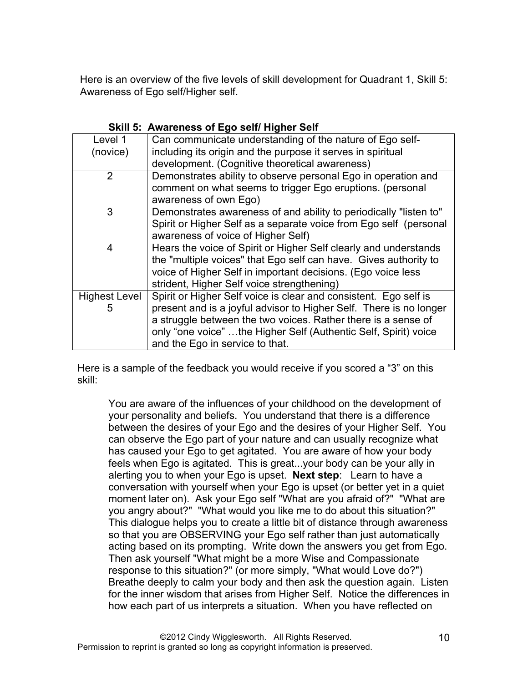Here is an overview of the five levels of skill development for Quadrant 1, Skill 5: Awareness of Ego self/Higher self.

| Level 1              | Can communicate understanding of the nature of Ego self-           |
|----------------------|--------------------------------------------------------------------|
| (novice)             | including its origin and the purpose it serves in spiritual        |
|                      | development. (Cognitive theoretical awareness)                     |
| $\overline{2}$       | Demonstrates ability to observe personal Ego in operation and      |
|                      | comment on what seems to trigger Ego eruptions. (personal          |
|                      | awareness of own Ego)                                              |
| 3                    | Demonstrates awareness of and ability to periodically "listen to"  |
|                      | Spirit or Higher Self as a separate voice from Ego self (personal  |
|                      | awareness of voice of Higher Self)                                 |
| 4                    | Hears the voice of Spirit or Higher Self clearly and understands   |
|                      | the "multiple voices" that Ego self can have. Gives authority to   |
|                      | voice of Higher Self in important decisions. (Ego voice less       |
|                      | strident, Higher Self voice strengthening)                         |
| <b>Highest Level</b> | Spirit or Higher Self voice is clear and consistent. Ego self is   |
| 5                    | present and is a joyful advisor to Higher Self. There is no longer |
|                      | a struggle between the two voices. Rather there is a sense of      |
|                      | only "one voice" the Higher Self (Authentic Self, Spirit) voice    |
|                      | and the Ego in service to that.                                    |

## **Skill 5: Awareness of Ego self/ Higher Self**

Here is a sample of the feedback you would receive if you scored a "3" on this skill:

You are aware of the influences of your childhood on the development of your personality and beliefs. You understand that there is a difference between the desires of your Ego and the desires of your Higher Self. You can observe the Ego part of your nature and can usually recognize what has caused your Ego to get agitated. You are aware of how your body feels when Ego is agitated. This is great...your body can be your ally in alerting you to when your Ego is upset. **Next step**: Learn to have a conversation with yourself when your Ego is upset (or better yet in a quiet moment later on). Ask your Ego self "What are you afraid of?" "What are you angry about?" "What would you like me to do about this situation?" This dialogue helps you to create a little bit of distance through awareness so that you are OBSERVING your Ego self rather than just automatically acting based on its prompting. Write down the answers you get from Ego. Then ask yourself "What might be a more Wise and Compassionate response to this situation?" (or more simply, "What would Love do?") Breathe deeply to calm your body and then ask the question again. Listen for the inner wisdom that arises from Higher Self. Notice the differences in how each part of us interprets a situation. When you have reflected on